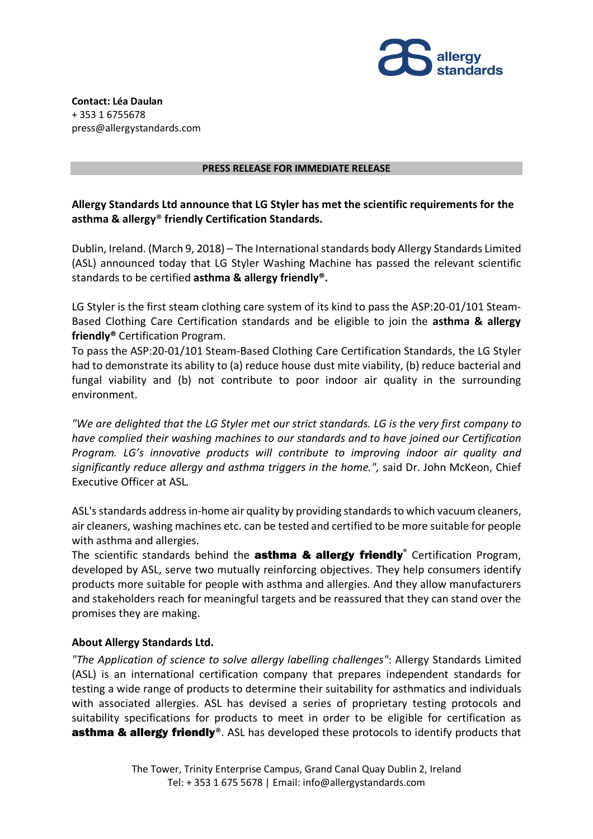

**Contact: Léa Daulan** + 353 1 6755678 press@allergystandards.com

## **PRESS RELEASE FOR IMMEDIATE RELEASE**

## **Allergy Standards Ltd announce that LG Styler has met the scientific requirements for the asthma & allergy**® **friendly Certification Standards.**

Dublin, Ireland. (March 9, 2018) – The International standards body Allergy Standards Limited (ASL) announced today that LG Styler Washing Machine has passed the relevant scientific standards to be certified **asthma & allergy friendly®.**

LG Styler is the first steam clothing care system of its kind to pass the ASP:20-01/101 Steam-Based Clothing Care Certification standards and be eligible to join the **asthma & allergy friendly®** Certification Program.

To pass the ASP:20-01/101 Steam-Based Clothing Care Certification Standards, the LG Styler had to demonstrate its ability to (a) reduce house dust mite viability, (b) reduce bacterial and fungal viability and (b) not contribute to poor indoor air quality in the surrounding environment.

*"We are delighted that the LG Styler met our strict standards. LG is the very first company to have complied their washing machines to our standards and to have joined our Certification Program. LG's innovative products will contribute to improving indoor air quality and significantly reduce allergy and asthma triggers in the home.",* said Dr. John McKeon, Chief Executive Officer at ASL*.* 

ASL's standards address in-home air quality by providing standards to which vacuum cleaners, air cleaners, washing machines etc. can be tested and certified to be more suitable for people with asthma and allergies.

The scientific standards behind the asthma & allergy friendly**®** Certification Program, developed by ASL, serve two mutually reinforcing objectives. They help consumers identify products more suitable for people with asthma and allergies. And they allow manufacturers and stakeholders reach for meaningful targets and be reassured that they can stand over the promises they are making.

## **About Allergy Standards Ltd.**

*"The Application of science to solve allergy labelling challenges"*: Allergy Standards Limited (ASL) is an international certification company that prepares independent standards for testing a wide range of products to determine their suitability for asthmatics and individuals with associated allergies. ASL has devised a series of proprietary testing protocols and suitability specifications for products to meet in order to be eligible for certification as **asthma & allergy friendly**®. ASL has developed these protocols to identify products that